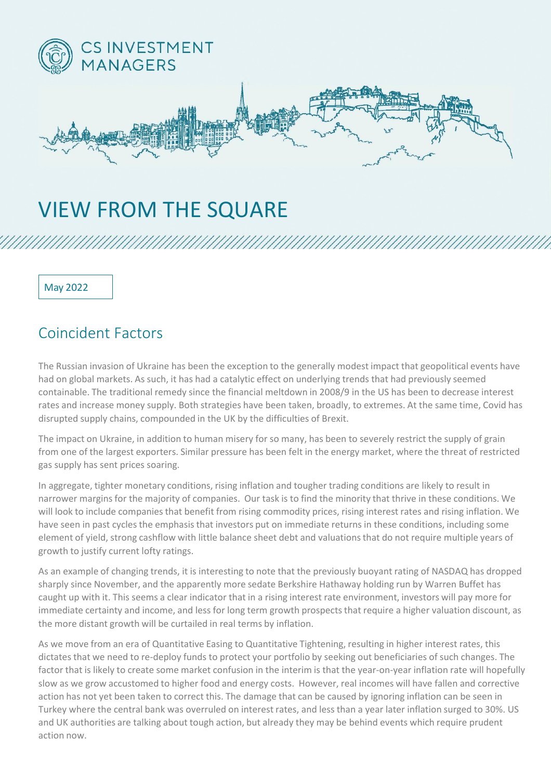

## VIEW FROM THE SQUARE

May 2022

## Coincident Factors

The Russian invasion of Ukraine has been the exception to the generally modest impact that geopolitical events have had on global markets. As such, it has had a catalytic effect on underlying trends that had previously seemed containable. The traditional remedy since the financial meltdown in 2008/9 in the US has been to decrease interest rates and increase money supply. Both strategies have been taken, broadly, to extremes. At the same time, Covid has disrupted supply chains, compounded in the UK by the difficulties of Brexit.

The impact on Ukraine, in addition to human misery for so many, has been to severely restrict the supply of grain from one of the largest exporters. Similar pressure has been felt in the energy market, where the threat of restricted gas supply has sent prices soaring.

In aggregate, tighter monetary conditions, rising inflation and tougher trading conditions are likely to result in narrower margins for the majority of companies. Our task is to find the minority that thrive in these conditions. We will look to include companies that benefit from rising commodity prices, rising interest rates and rising inflation. We have seen in past cycles the emphasis that investors put on immediate returns in these conditions, including some element of yield, strong cashflow with little balance sheet debt and valuations that do not require multiple years of growth to justify current lofty ratings.

As an example of changing trends, it is interesting to note that the previously buoyant rating of NASDAQ has dropped sharply since November, and the apparently more sedate Berkshire Hathaway holding run by Warren Buffet has caught up with it. This seems a clear indicator that in a rising interest rate environment, investors will pay more for immediate certainty and income, and less for long term growth prospects that require a higher valuation discount, as the more distant growth will be curtailed in real terms by inflation.

As we move from an era of Quantitative Easing to Quantitative Tightening, resulting in higher interest rates, this dictates that we need to re-deploy funds to protect your portfolio by seeking out beneficiaries of such changes. The factor that is likely to create some market confusion in the interim is that the year-on-year inflation rate will hopefully slow as we grow accustomed to higher food and energy costs. However, real incomes will have fallen and corrective action has not yet been taken to correct this. The damage that can be caused by ignoring inflation can be seen in Turkey where the central bank was overruled on interest rates, and less than a year later inflation surged to 30%. US and UK authorities are talking about tough action, but already they may be behind events which require prudent action now.